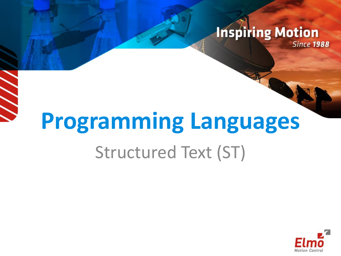#### **Inspiring Motion Since 1988**

# **Programming Languages** Structured Text (ST)

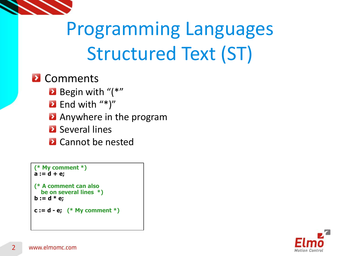

#### **2** Comments

- Begin with "(\*"
- $\bullet$  End with "\*)"
- **Anywhere in the program**
- **2** Several lines
- **2** Cannot be nested

```
(* My comment *)
a := d + e;
(* A comment can also 
   be on several lines *)
b := d * e;
c := d - e; (* My comment *)
```
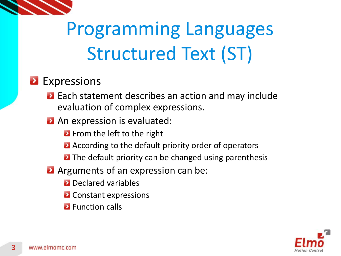

#### **Expressions**

**Each statement describes an action and may include** evaluation of complex expressions.

#### **An expression is evaluated:**

- **E** From the left to the right
- **A** According to the default priority order of operators
- **D** The default priority can be changed using parenthesis
- **A** Arguments of an expression can be:
	- **2** Declared variables
	- **D** Constant expressions
	- **2** Function calls

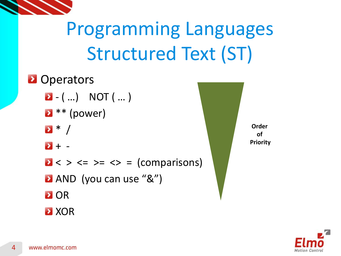

**D** Operators  $\bullet$  - ( ...) NOT ( ... )  $\bullet$  \*\* (power)  $\bullet$  \* /  $\rightarrow$  + - $\mathbf{a} \leq \mathbf{b} \leq \mathbf{c} = \mathbf{c} \leq \mathbf{c}$  (comparisons) **AND** (you can use "&") **D** OR **2** XOR



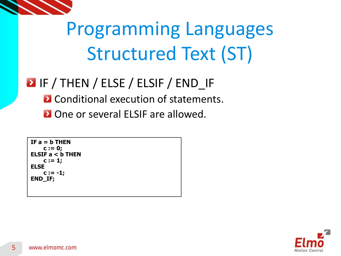

### **D** IF / THEN / ELSE / ELSIF / END IF

- **2** Conditional execution of statements.
- **D** One or several ELSIF are allowed.

```
IF a = b THEN
    c := 0;
ELSIF a < b THEN
    c := 1;
ELSE
    c := -1;
END_IF;
```
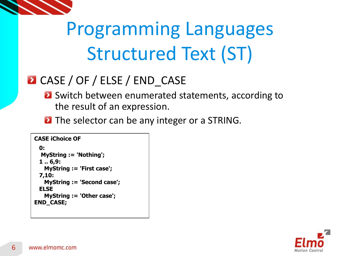

### **D** CASE / OF / ELSE / END CASE

**B** Switch between enumerated statements, according to the result of an expression.

**D** The selector can be any integer or a STRING.

```
CASE iChoice OF
  0:
   MyString := 'Nothing';
  1 .. 6,9:
    MyString := 'First case';
  7,10:
    MyString := 'Second case';
  ELSE
    MyString := 'Other case';
END_CASE;
```
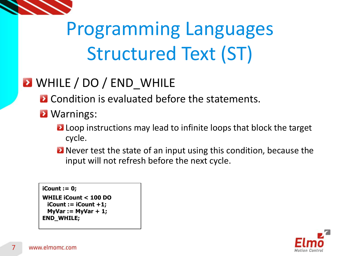

### **E** WHILE / DO / END WHILE

**E** Condition is evaluated before the statements.

- **D** Warnings:
	- **Loop instructions may lead to infinite loops that block the target** cycle.
	- **D** Never test the state of an input using this condition, because the input will not refresh before the next cycle.

#### **iCount := 0;**

**WHILE iCount < 100 DO iCount := iCount +1; MyVar := MyVar + 1; END\_WHILE;**

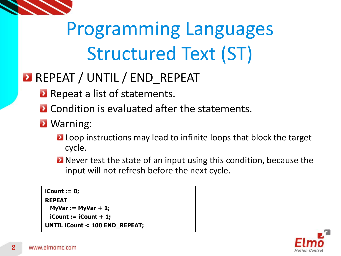

### **REPEAT / UNTIL / END REPEAT**

- **Repeat a list of statements.**
- **D** Condition is evaluated after the statements.
- **2** Warning:
	- **Loop instructions may lead to infinite loops that block the target** cycle.
	- **D** Never test the state of an input using this condition, because the input will not refresh before the next cycle.

**iCount := 0; REPEAT MyVar := MyVar + 1; iCount := iCount + 1; UNTIL iCount < 100 END\_REPEAT;**

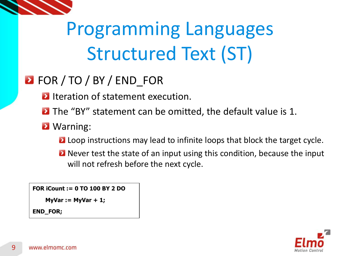

### **D** FOR / TO / BY / END\_FOR

- **Ifteration of statement execution.**
- **D** The "BY" statement can be omitted, the default value is 1.
- **2** Warning:
	- **Loop instructions may lead to infinite loops that block the target cycle.**
	- **D** Never test the state of an input using this condition, because the input will not refresh before the next cycle.

**FOR iCount := 0 TO 100 BY 2 DO**

**MyVar := MyVar + 1;**

**END\_FOR;**

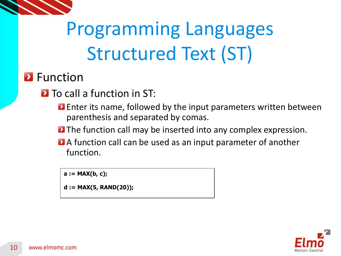

#### **P** Function

**D** To call a function in ST:

- **Enter its name, followed by the input parameters written between** parenthesis and separated by comas.
- **The function call may be inserted into any complex expression.**
- **A** A function call can be used as an input parameter of another function.

**a := MAX(b, c);**

**d := MAX(5, RAND(20));**

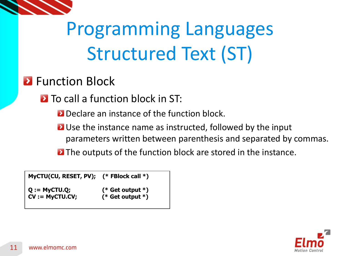

#### **2** Function Block

**D** To call a function block in ST:

**Declare an instance of the function block.** 

- **D** Use the instance name as instructed, followed by the input parameters written between parenthesis and separated by commas.
- **E** The outputs of the function block are stored in the instance.

**MyCTU(CU, RESET, PV); (\* FBlock call \*) Q := MyCTU.Q; (\* Get output \*) CV := MyCTU.CV; (\* Get output \*)**

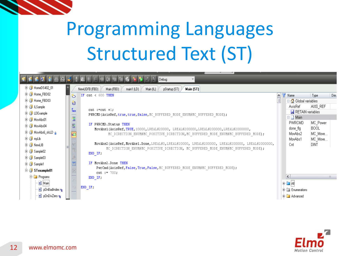